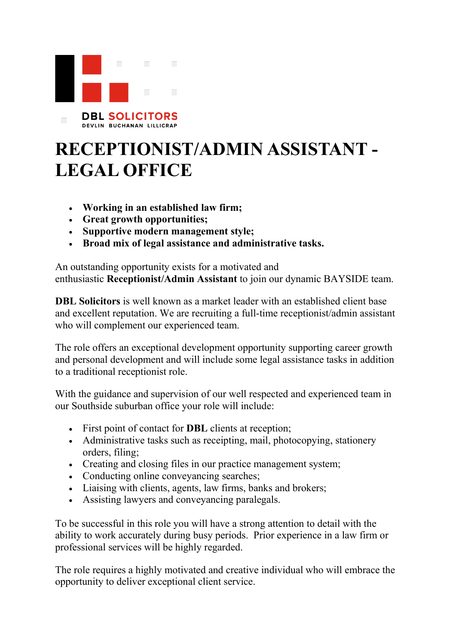

**DBL SOLICITORS** DEVLIN BUCHANAN LILLICRAP

## **RECEPTIONIST/ADMIN ASSISTANT - LEGAL OFFICE**

- **Working in an established law firm;**
- **Great growth opportunities;**
- **Supportive modern management style;**
- **Broad mix of legal assistance and administrative tasks.**

An outstanding opportunity exists for a motivated and enthusiastic **Receptionist/Admin Assistant** to join our dynamic BAYSIDE team.

**DBL Solicitors** is well known as a market leader with an established client base and excellent reputation. We are recruiting a full-time receptionist/admin assistant who will complement our experienced team.

The role offers an exceptional development opportunity supporting career growth and personal development and will include some legal assistance tasks in addition to a traditional receptionist role.

With the guidance and supervision of our well respected and experienced team in our Southside suburban office your role will include:

- First point of contact for **DBL** clients at reception;
- Administrative tasks such as receipting, mail, photocopying, stationery orders, filing;
- Creating and closing files in our practice management system;
- Conducting online conveyancing searches;
- Liaising with clients, agents, law firms, banks and brokers;
- Assisting lawyers and conveyancing paralegals.

To be successful in this role you will have a strong attention to detail with the ability to work accurately during busy periods. Prior experience in a law firm or professional services will be highly regarded.

The role requires a highly motivated and creative individual who will embrace the opportunity to deliver exceptional client service.